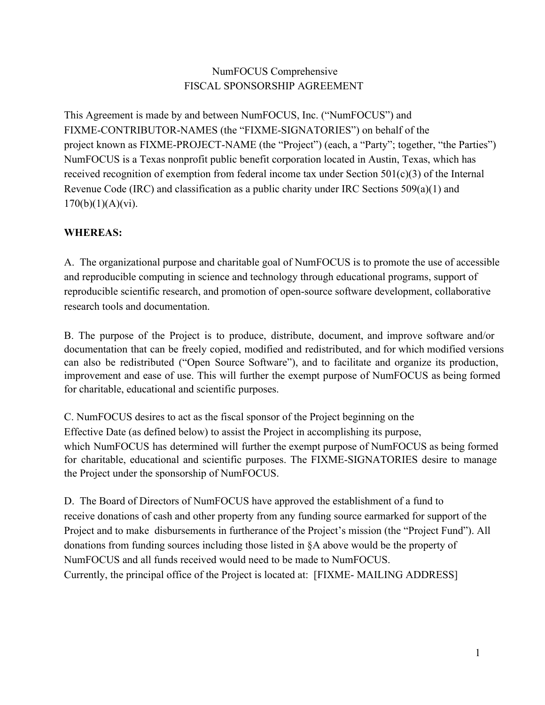# NumFOCUS Comprehensive FISCAL SPONSORSHIP AGREEMENT

This Agreement is made by and between NumFOCUS, Inc. ("NumFOCUS") and FIXME-CONTRIBUTOR-NAMES (the "FIXME-SIGNATORIES") on behalf of the project known as FIXME-PROJECT-NAME (the "Project") (each, a "Party"; together, "the Parties") NumFOCUS is a Texas nonprofit public benefit corporation located in Austin, Texas, which has received recognition of exemption from federal income tax under Section  $501(c)(3)$  of the Internal Revenue Code (IRC) and classification as a public charity under IRC Sections 509(a)(1) and  $170(b)(1)(A)(vi).$ 

## **WHEREAS:**

A. The organizational purpose and charitable goal of NumFOCUS is to promote the use of accessible and reproducible computing in science and technology through educational programs, support of reproducible scientific research, and promotion of open-source software development, collaborative research tools and documentation.

B. The purpose of the Project is to produce, distribute, document, and improve software and/or documentation that can be freely copied, modified and redistributed, and for which modified versions can also be redistributed ("Open Source Software"), and to facilitate and organize its production, improvement and ease of use. This will further the exempt purpose of NumFOCUS as being formed for charitable, educational and scientific purposes.

C. NumFOCUS desires to act as the fiscal sponsor of the Project beginning on the Effective Date (as defined below) to assist the Project in accomplishing its purpose, which NumFOCUS has determined will further the exempt purpose of NumFOCUS as being formed for charitable, educational and scientific purposes. The FIXME-SIGNATORIES desire to manage the Project under the sponsorship of NumFOCUS.

D. The Board of Directors of NumFOCUS have approved the establishment of a fund to receive donations of cash and other property from any funding source earmarked for support of the Project and to make disbursements in furtherance of the Project's mission (the "Project Fund"). All donations from funding sources including those listed in §A above would be the property of NumFOCUS and all funds received would need to be made to NumFOCUS. Currently, the principal office of the Project is located at: [FIXME-MAILING ADDRESS]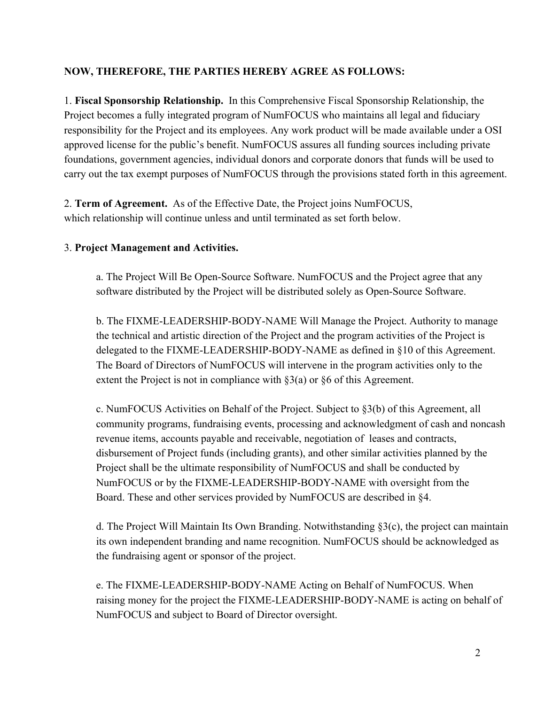## **NOW, THEREFORE, THE PARTIES HEREBY AGREE AS FOLLOWS:**

1. **Fiscal Sponsorship Relationship.** In this Comprehensive Fiscal Sponsorship Relationship, the Project becomes a fully integrated program of NumFOCUS who maintains all legal and fiduciary responsibility for the Project and its employees. Any work product will be made available under a OSI approved license for the public's benefit. NumFOCUS assures all funding sources including private foundations, government agencies, individual donors and corporate donors that funds will be used to carry out the tax exempt purposes of NumFOCUS through the provisions stated forth in this agreement.

2. **Term of Agreement.** As of the Effective Date, the Project joins NumFOCUS, which relationship will continue unless and until terminated as set forth below.

#### 3. **Project Management and Activities.**

a. The Project Will Be Open-Source Software. NumFOCUS and the Project agree that any software distributed by the Project will be distributed solely as Open-Source Software.

b. The FIXME-LEADERSHIP-BODY-NAME Will Manage the Project. Authority to manage the technical and artistic direction of the Project and the program activities of the Project is delegated to the FIXME-LEADERSHIP-BODY-NAME as defined in  $§10$  of this Agreement. The Board of Directors of NumFOCUS will intervene in the program activities only to the extent the Project is not in compliance with  $\S3(a)$  or  $\S6$  of this Agreement.

c. NumFOCUS Activities on Behalf of the Project. Subject to §3(b) of this Agreement, all community programs, fundraising events, processing and acknowledgment of cash and noncash revenue items, accounts payable and receivable, negotiation of leases and contracts, disbursement of Project funds (including grants), and other similar activities planned by the Project shall be the ultimate responsibility of NumFOCUS and shall be conducted by NumFOCUS or by the FIXME-LEADERSHIP-BODY-NAME with oversight from the Board. These and other services provided by NumFOCUS are described in §4.

d. The Project Will Maintain Its Own Branding. Notwithstanding §3(c), the project can maintain its own independent branding and name recognition. NumFOCUS should be acknowledged as the fundraising agent or sponsor of the project.

e. The FIXME-LEADERSHIP-BODY-NAME Acting on Behalf of NumFOCUS. When raising money for the project the FIXME-LEADERSHIP-BODY-NAME is acting on behalf of NumFOCUS and subject to Board of Director oversight.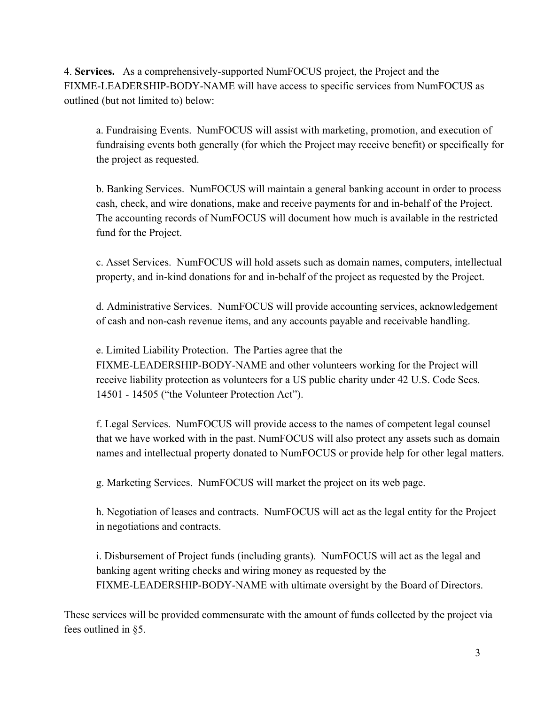4. **Services.** As a comprehensively-supported NumFOCUS project, the Project and the FIXME-LEADERSHIP-BODY-NAME will have access to specific services from NumFOCUS as outlined (but not limited to) below:

a. Fundraising Events. NumFOCUS will assist with marketing, promotion, and execution of fundraising events both generally (for which the Project may receive benefit) or specifically for the project as requested.

b. Banking Services. NumFOCUS will maintain a general banking account in order to process cash, check, and wire donations, make and receive payments for and inbehalf of the Project. The accounting records of NumFOCUS will document how much is available in the restricted fund for the Project.

c. Asset Services. NumFOCUS will hold assets such as domain names, computers, intellectual property, and in-kind donations for and in-behalf of the project as requested by the Project.

d. Administrative Services. NumFOCUS will provide accounting services, acknowledgement of cash and non-cash revenue items, and any accounts payable and receivable handling.

e. Limited Liability Protection. The Parties agree that the FIXME-LEADERSHIP-BODY-NAME and other volunteers working for the Project will receive liability protection as volunteers for a US public charity under 42 U.S. Code Secs. 14501 14505 ("the Volunteer Protection Act").

f. Legal Services. NumFOCUS will provide access to the names of competent legal counsel that we have worked with in the past. NumFOCUS will also protect any assets such as domain names and intellectual property donated to NumFOCUS or provide help for other legal matters.

g. Marketing Services. NumFOCUS will market the project on its web page.

h. Negotiation of leases and contracts. NumFOCUS will act as the legal entity for the Project in negotiations and contracts.

i. Disbursement of Project funds (including grants). NumFOCUS will act as the legal and banking agent writing checks and wiring money as requested by the FIXME-LEADERSHIP-BODY-NAME with ultimate oversight by the Board of Directors.

These services will be provided commensurate with the amount of funds collected by the project via fees outlined in §5.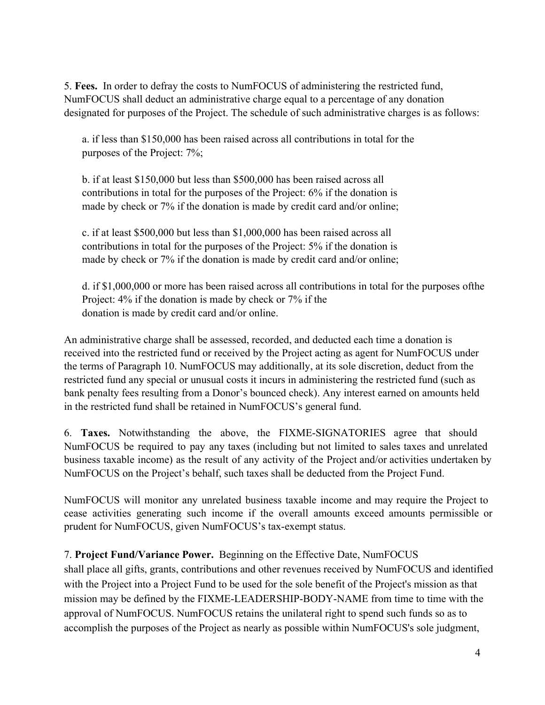5. **Fees.** In order to defray the costs to NumFOCUS of administering the restricted fund, NumFOCUS shall deduct an administrative charge equal to a percentage of any donation designated for purposes of the Project. The schedule of such administrative charges is as follows:

a. if less than \$150,000 has been raised across all contributions in total for the purposes of the Project: 7%;

b. if at least \$150,000 but less than \$500,000 has been raised across all contributions in total for the purposes of the Project: 6% if the donation is made by check or 7% if the donation is made by credit card and/or online;

c. if at least \$500,000 but less than \$1,000,000 has been raised across all contributions in total for the purposes of the Project: 5% if the donation is made by check or 7% if the donation is made by credit card and/or online;

d. if \$1,000,000 or more has been raised across all contributions in total for the purposes ofthe Project: 4% if the donation is made by check or 7% if the donation is made by credit card and/or online.

An administrative charge shall be assessed, recorded, and deducted each time a donation is received into the restricted fund or received by the Project acting as agent for NumFOCUS under the terms of Paragraph 10. NumFOCUS may additionally, at its sole discretion, deduct from the restricted fund any special or unusual costs it incurs in administering the restricted fund (such as bank penalty fees resulting from a Donor's bounced check). Any interest earned on amounts held in the restricted fund shall be retained in NumFOCUS's general fund.

6. **Taxes.** Notwithstanding the above, the FIXMESIGNATORIES agree that should NumFOCUS be required to pay any taxes (including but not limited to sales taxes and unrelated business taxable income) as the result of any activity of the Project and/or activities undertaken by NumFOCUS on the Project's behalf, such taxes shall be deducted from the Project Fund.

NumFOCUS will monitor any unrelated business taxable income and may require the Project to cease activities generating such income if the overall amounts exceed amounts permissible or prudent for NumFOCUS, given NumFOCUS's tax-exempt status.

## 7. **Project Fund/Variance Power.** Beginning on the Effective Date, NumFOCUS

shall place all gifts, grants, contributions and other revenues received by NumFOCUS and identified with the Project into a Project Fund to be used for the sole benefit of the Project's mission as that mission may be defined by the FIXME-LEADERSHIP-BODY-NAME from time to time with the approval of NumFOCUS. NumFOCUS retains the unilateral right to spend such funds so as to accomplish the purposes of the Project as nearly as possible within NumFOCUS's sole judgment,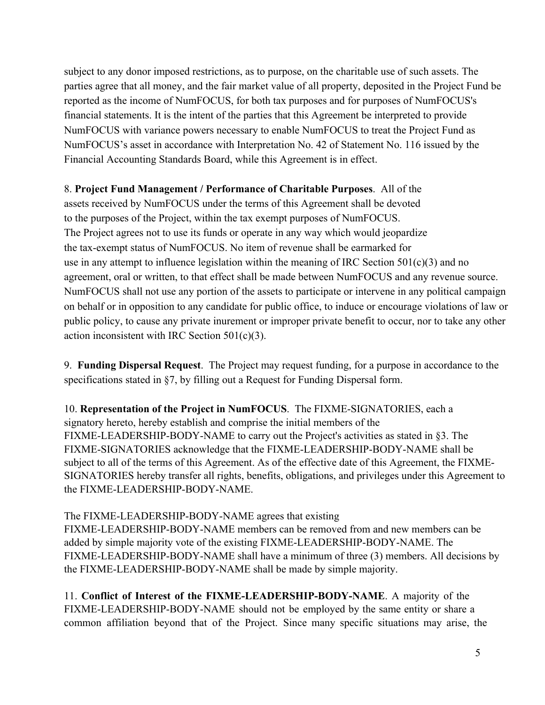subject to any donor imposed restrictions, as to purpose, on the charitable use of such assets. The parties agree that all money, and the fair market value of all property, deposited in the Project Fund be reported as the income of NumFOCUS, for both tax purposes and for purposes of NumFOCUS's financial statements. It is the intent of the parties that this Agreement be interpreted to provide NumFOCUS with variance powers necessary to enable NumFOCUS to treat the Project Fund as NumFOCUS's asset in accordance with Interpretation No. 42 of Statement No. 116 issued by the Financial Accounting Standards Board, while this Agreement is in effect.

### 8. **Project Fund Management / Performance of Charitable Purposes**. All of the

assets received by NumFOCUS under the terms of this Agreement shall be devoted to the purposes of the Project, within the tax exempt purposes of NumFOCUS. The Project agrees not to use its funds or operate in any way which would jeopardize the tax-exempt status of NumFOCUS. No item of revenue shall be earmarked for use in any attempt to influence legislation within the meaning of IRC Section  $501(c)(3)$  and no agreement, oral or written, to that effect shall be made between NumFOCUS and any revenue source. NumFOCUS shall not use any portion of the assets to participate or intervene in any political campaign on behalf or in opposition to any candidate for public office, to induce or encourage violations of law or public policy, to cause any private inurement or improper private benefit to occur, nor to take any other action inconsistent with IRC Section 501(c)(3).

9. **Funding Dispersal Request**. The Project may request funding, for a purpose in accordance to the specifications stated in §7, by filling out a Request for Funding Dispersal form.

10. **Representation of the Project in NumFOCUS**. The FIXME-SIGNATORIES, each a signatory hereto, hereby establish and comprise the initial members of the FIXME-LEADERSHIP-BODY-NAME to carry out the Project's activities as stated in  $\S$ 3. The FIXME-SIGNATORIES acknowledge that the FIXME-LEADERSHIP-BODY-NAME shall be subject to all of the terms of this Agreement. As of the effective date of this Agreement, the FIXME-SIGNATORIES hereby transfer all rights, benefits, obligations, and privileges under this Agreement to the FIXME-LEADERSHIP-BODY-NAME.

## The FIXME-LEADERSHIP-BODY-NAME agrees that existing

FIXME-LEADERSHIP-BODY-NAME members can be removed from and new members can be added by simple majority vote of the existing FIXME-LEADERSHIP-BODY-NAME. The FIXME-LEADERSHIP-BODY-NAME shall have a minimum of three (3) members. All decisions by the FIXME-LEADERSHIP-BODY-NAME shall be made by simple majority.

11. **Conflict of Interest of the FIXME-LEADERSHIP-BODY-NAME.** A majority of the FIXME-LEADERSHIP-BODY-NAME should not be employed by the same entity or share a common affiliation beyond that of the Project. Since many specific situations may arise, the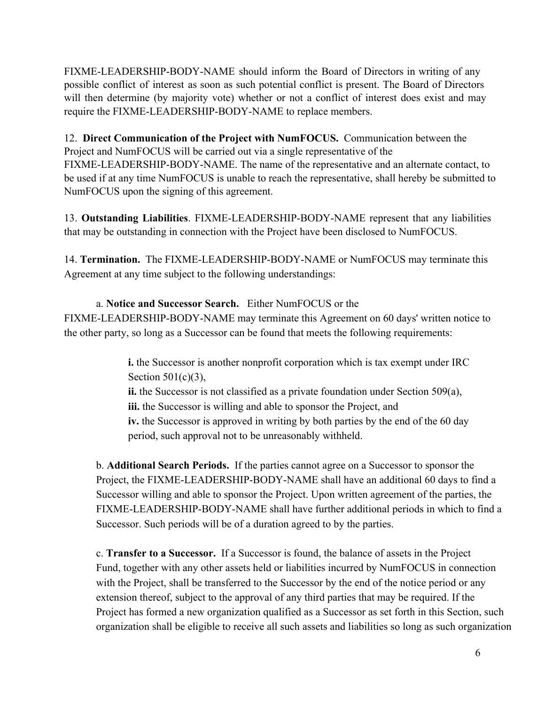FIXME-LEADERSHIP-BODY-NAME should inform the Board of Directors in writing of any possible conflict of interest as soon as such potential conflict is present. The Board of Directors will then determine (by majority vote) whether or not a conflict of interest does exist and may require the FIXME-LEADERSHIP-BODY-NAME to replace members.

12. **Direct Communication of the Project with NumFOCUS.** Communication between the Project and NumFOCUS will be carried out via a single representative of the FIXME-LEADERSHIP-BODY-NAME. The name of the representative and an alternate contact, to be used if at any time NumFOCUS is unable to reach the representative, shall hereby be submitted to NumFOCUS upon the signing of this agreement.

13. **Outstanding Liabilities**. FIXME-LEADERSHIP-BODY-NAME represent that any liabilities that may be outstanding in connection with the Project have been disclosed to NumFOCUS.

14. **Termination.** The FIXME-LEADERSHIP-BODY-NAME or NumFOCUS may terminate this Agreement at any time subject to the following understandings:

a. **Notice and Successor Search.** Either NumFOCUS or the FIXME-LEADERSHIP-BODY-NAME may terminate this Agreement on 60 days' written notice to the other party, so long as a Successor can be found that meets the following requirements:

> **i.** the Successor is another nonprofit corporation which is tax exempt under IRC Section 501(c)(3),

> **ii.** the Successor is not classified as a private foundation under Section 509(a), **iii.** the Successor is willing and able to sponsor the Project, and **iv.** the Successor is approved in writing by both parties by the end of the 60 day period, such approval not to be unreasonably withheld.

b. **Additional Search Periods.** If the parties cannot agree on a Successor to sponsor the Project, the FIXME-LEADERSHIP-BODY-NAME shall have an additional 60 days to find a Successor willing and able to sponsor the Project. Upon written agreement of the parties, the FIXME-LEADERSHIP-BODY-NAME shall have further additional periods in which to find a Successor. Such periods will be of a duration agreed to by the parties.

c. **Transfer to a Successor.** If a Successor is found, the balance of assets in the Project Fund, together with any other assets held or liabilities incurred by NumFOCUS in connection with the Project, shall be transferred to the Successor by the end of the notice period or any extension thereof, subject to the approval of any third parties that may be required. If the Project has formed a new organization qualified as a Successor as set forth in this Section, such organization shall be eligible to receive all such assets and liabilities so long as such organization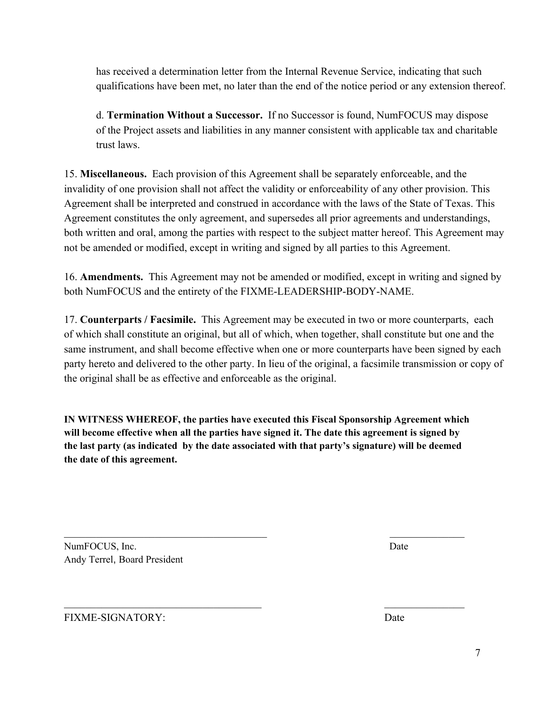has received a determination letter from the Internal Revenue Service, indicating that such qualifications have been met, no later than the end of the notice period or any extension thereof.

d. **Termination Without a Successor.** If no Successor is found, NumFOCUS may dispose of the Project assets and liabilities in any manner consistent with applicable tax and charitable trust laws.

15. **Miscellaneous.** Each provision of this Agreement shall be separately enforceable, and the invalidity of one provision shall not affect the validity or enforceability of any other provision. This Agreement shall be interpreted and construed in accordance with the laws of the State of Texas. This Agreement constitutes the only agreement, and supersedes all prior agreements and understandings, both written and oral, among the parties with respect to the subject matter hereof. This Agreement may not be amended or modified, except in writing and signed by all parties to this Agreement.

16. **Amendments.** This Agreement may not be amended or modified, except in writing and signed by both NumFOCUS and the entirety of the FIXME-LEADERSHIP-BODY-NAME.

17. **Counterparts / Facsimile.** This Agreement may be executed in two or more counterparts, each of which shall constitute an original, but all of which, when together, shall constitute but one and the same instrument, and shall become effective when one or more counterparts have been signed by each party hereto and delivered to the other party. In lieu of the original, a facsimile transmission or copy of the original shall be as effective and enforceable as the original.

**IN WITNESS WHEREOF, the parties have executed this Fiscal Sponsorship Agreement which will become effective when all the parties have signed it. The date this agreement is signed by the last party (as indicated by the date associated with that party's signature) will be deemed the date of this agreement.**

 $\mathcal{L}_\text{max}$  , and the contract of the contract of the contract of the contract of the contract of the contract of

 $\mathcal{L}_\text{max}$  , and the contract of the contract of the contract of the contract of the contract of the contract of

NumFOCUS, Inc. Date Andy Terrel, Board President

FIXME-SIGNATORY: Date